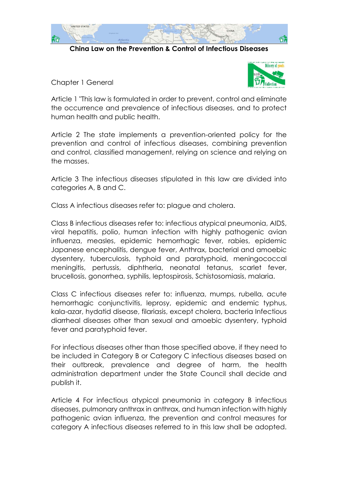

**China Law on the Prevention & Control of Infectious Diseases**

Chapter 1 General



Article 1 "This law is formulated in order to prevent, control and eliminate the occurrence and prevalence of infectious diseases, and to protect human health and public health.

Article 2 The state implements a prevention-oriented policy for the prevention and control of infectious diseases, combining prevention and control, classified management, relying on science and relying on the masses.

Article 3 The infectious diseases stipulated in this law are divided into categories A, B and C.

Class A infectious diseases refer to: plague and cholera.

Class B infectious diseases refer to: infectious atypical pneumonia, AIDS, viral hepatitis, polio, human infection with highly pathogenic avian influenza, measles, epidemic hemorrhagic fever, rabies, epidemic Japanese encephalitis, dengue fever, Anthrax, bacterial and amoebic dysentery, tuberculosis, typhoid and paratyphoid, meningococcal meningitis, pertussis, diphtheria, neonatal tetanus, scarlet fever, brucellosis, gonorrhea, syphilis, leptospirosis, Schistosomiasis, malaria.

Class C infectious diseases refer to: influenza, mumps, rubella, acute hemorrhagic conjunctivitis, leprosy, epidemic and endemic typhus, kala-azar, hydatid disease, filariasis, except cholera, bacteria Infectious diarrheal diseases other than sexual and amoebic dysentery, typhoid fever and paratyphoid fever.

For infectious diseases other than those specified above, if they need to be included in Category B or Category C infectious diseases based on their outbreak, prevalence and degree of harm, the health administration department under the State Council shall decide and publish it.

Article 4 For infectious atypical pneumonia in category B infectious diseases, pulmonary anthrax in anthrax, and human infection with highly pathogenic avian influenza, the prevention and control measures for category A infectious diseases referred to in this law shall be adopted.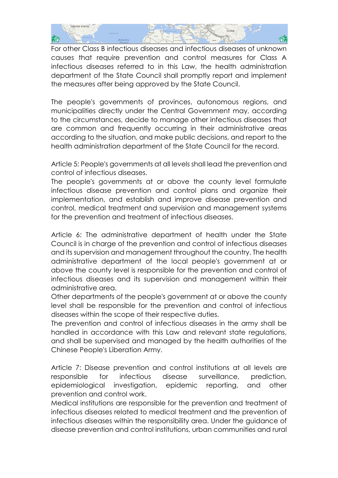

For other Class B infectious diseases and infectious diseases of unknown causes that require prevention and control measures for Class A infectious diseases referred to in this Law, the health administration department of the State Council shall promptly report and implement the measures after being approved by the State Council.

The people's governments of provinces, autonomous regions, and municipalities directly under the Central Government may, according to the circumstances, decide to manage other infectious diseases that are common and frequently occurring in their administrative areas according to the situation, and make public decisions, and report to the health administration department of the State Council for the record.

Article 5: People's governments at all levels shall lead the prevention and control of infectious diseases.

The people's governments at or above the county level formulate infectious disease prevention and control plans and organize their implementation, and establish and improve disease prevention and control, medical treatment and supervision and management systems for the prevention and treatment of infectious diseases.

Article 6: The administrative department of health under the State Council is in charge of the prevention and control of infectious diseases and its supervision and management throughout the country. The health administrative department of the local people's government at or above the county level is responsible for the prevention and control of infectious diseases and its supervision and management within their administrative area.

Other departments of the people's government at or above the county level shall be responsible for the prevention and control of infectious diseases within the scope of their respective duties.

The prevention and control of infectious diseases in the army shall be handled in accordance with this Law and relevant state regulations, and shall be supervised and managed by the health authorities of the Chinese People's Liberation Army.

Article 7: Disease prevention and control institutions at all levels are responsible for infectious disease surveillance, prediction, epidemiological investigation, epidemic reporting, and other prevention and control work.

Medical institutions are responsible for the prevention and treatment of infectious diseases related to medical treatment and the prevention of infectious diseases within the responsibility area. Under the guidance of disease prevention and control institutions, urban communities and rural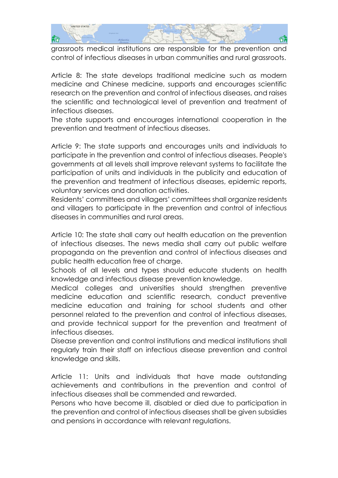

grassroots medical institutions are responsible for the prevention and control of infectious diseases in urban communities and rural grassroots.

Article 8: The state develops traditional medicine such as modern medicine and Chinese medicine, supports and encourages scientific research on the prevention and control of infectious diseases, and raises the scientific and technological level of prevention and treatment of infectious diseases.

The state supports and encourages international cooperation in the prevention and treatment of infectious diseases.

Article 9: The state supports and encourages units and individuals to participate in the prevention and control of infectious diseases. People's governments at all levels shall improve relevant systems to facilitate the participation of units and individuals in the publicity and education of the prevention and treatment of infectious diseases, epidemic reports, voluntary services and donation activities.

Residents' committees and villagers' committees shall organize residents and villagers to participate in the prevention and control of infectious diseases in communities and rural areas.

Article 10: The state shall carry out health education on the prevention of infectious diseases. The news media shall carry out public welfare propaganda on the prevention and control of infectious diseases and public health education free of charge.

Schools of all levels and types should educate students on health knowledge and infectious disease prevention knowledge.

Medical colleges and universities should strengthen preventive medicine education and scientific research, conduct preventive medicine education and training for school students and other personnel related to the prevention and control of infectious diseases, and provide technical support for the prevention and treatment of infectious diseases.

Disease prevention and control institutions and medical institutions shall regularly train their staff on infectious disease prevention and control knowledge and skills.

Article 11: Units and individuals that have made outstanding achievements and contributions in the prevention and control of infectious diseases shall be commended and rewarded.

Persons who have become ill, disabled or died due to participation in the prevention and control of infectious diseases shall be given subsidies and pensions in accordance with relevant regulations.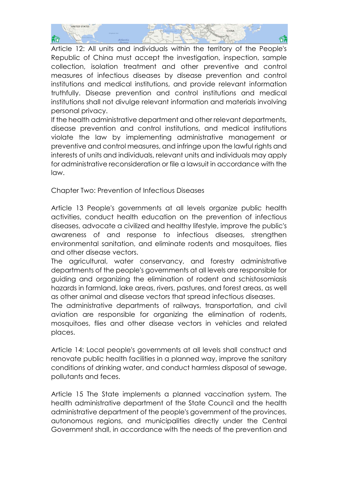

Article 12: All units and individuals within the territory of the People's Republic of China must accept the investigation, inspection, sample collection, isolation treatment and other preventive and control measures of infectious diseases by disease prevention and control institutions and medical institutions, and provide relevant information truthfully. Disease prevention and control institutions and medical institutions shall not divulge relevant information and materials involving personal privacy.

If the health administrative department and other relevant departments, disease prevention and control institutions, and medical institutions violate the law by implementing administrative management or preventive and control measures, and infringe upon the lawful rights and interests of units and individuals, relevant units and individuals may apply for administrative reconsideration or file a lawsuit in accordance with the law.

Chapter Two: Prevention of Infectious Diseases

Article 13 People's governments at all levels organize public health activities, conduct health education on the prevention of infectious diseases, advocate a civilized and healthy lifestyle, improve the public's awareness of and response to infectious diseases, strengthen environmental sanitation, and eliminate rodents and mosquitoes, flies and other disease vectors.

The agricultural, water conservancy, and forestry administrative departments of the people's governments at all levels are responsible for guiding and organizing the elimination of rodent and schistosomiasis hazards in farmland, lake areas, rivers, pastures, and forest areas, as well as other animal and disease vectors that spread infectious diseases.

The administrative departments of railways, transportation, and civil aviation are responsible for organizing the elimination of rodents, mosquitoes, flies and other disease vectors in vehicles and related places.

Article 14: Local people's governments at all levels shall construct and renovate public health facilities in a planned way, improve the sanitary conditions of drinking water, and conduct harmless disposal of sewage, pollutants and feces.

Article 15 The State implements a planned vaccination system. The health administrative department of the State Council and the health administrative department of the people's government of the provinces, autonomous regions, and municipalities directly under the Central Government shall, in accordance with the needs of the prevention and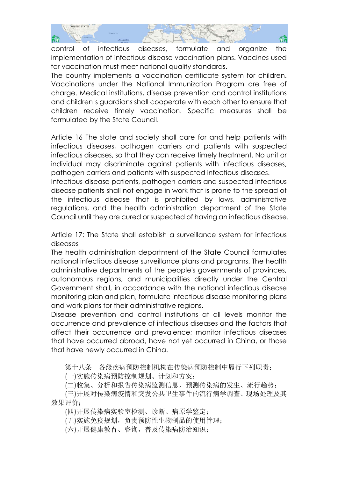

control of infectious diseases, formulate and organize the implementation of infectious disease vaccination plans. Vaccines used for vaccination must meet national quality standards.

The country implements a vaccination certificate system for children. Vaccinations under the National Immunization Program are free of charge. Medical institutions, disease prevention and control institutions and children's guardians shall cooperate with each other to ensure that children receive timely vaccination. Specific measures shall be formulated by the State Council.

Article 16 The state and society shall care for and help patients with infectious diseases, pathogen carriers and patients with suspected infectious diseases, so that they can receive timely treatment. No unit or individual may discriminate against patients with infectious diseases, pathogen carriers and patients with suspected infectious diseases.

Infectious disease patients, pathogen carriers and suspected infectious disease patients shall not engage in work that is prone to the spread of the infectious disease that is prohibited by laws, administrative regulations, and the health administration department of the State Council until they are cured or suspected of having an infectious disease.

Article 17: The State shall establish a surveillance system for infectious diseases

The health administration department of the State Council formulates national infectious disease surveillance plans and programs. The health administrative departments of the people's governments of provinces, autonomous regions, and municipalities directly under the Central Government shall, in accordance with the national infectious disease monitoring plan and plan, formulate infectious disease monitoring plans and work plans for their administrative regions.

Disease prevention and control institutions at all levels monitor the occurrence and prevalence of infectious diseases and the factors that affect their occurrence and prevalence; monitor infectious diseases that have occurred abroad, have not yet occurred in China, or those that have newly occurred in China.

第十八条 各级疾病预防控制机构在传染病预防控制中履行下列职责:

(一)实施传染病预防控制规划、计划和方案;

(二)收集、分析和报告传染病监测信息,预测传染病的发生、流行趋势;

 (三)开展对传染病疫情和突发公共卫生事件的流行病学调查、现场处理及其 效果评价;

(四)开展传染病实验室检测、诊断、病原学鉴定;

(五)实施免疫规划,负责预防性生物制品的使用管理;

(六)开展健康教育、咨询,普及传染病防治知识;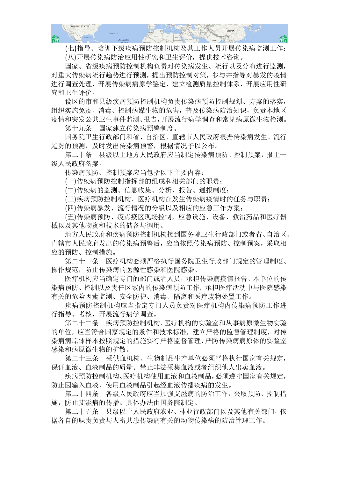

 (七)指导、培训下级疾病预防控制机构及其工作人员开展传染病监测工作; (八)开展传染病防治应用性研究和卫生评价,提供技术咨询。

 国家、省级疾病预防控制机构负责对传染病发生、流行以及分布进行监测, 对重大传染病流行趋势进行预测,提出预防控制对策,参与并指导对暴发的疫情 进行调查处理,开展传染病病原学鉴定,建立检测质量控制体系,开展应用性研 究和卫生评价。

 设区的市和县级疾病预防控制机构负责传染病预防控制规划、方案的落实, 组织实施免疫、消毒、控制病媒生物的危害,普及传染病防治知识,负责本地区 疫情和突发公共卫生事件监测、报告,开展流行病学调查和常见病原微生物检测。

第十九条 国家建立传染病预警制度。

 国务院卫生行政部门和省、自治区、直辖市人民政府根据传染病发生、流行 趋势的预测,及时发出传染病预警,根据情况予以公布。

 第二十条 县级以上地方人民政府应当制定传染病预防、控制预案,报上一 级人民政府备案。

传染病预防、控制预案应当包括以下主要内容:

(一)传染病预防控制指挥部的组成和相关部门的职责;

(二)传染病的监测、信息收集、分析、报告、通报制度;

(三)疾病预防控制机构、医疗机构在发生传染病疫情时的任务与职责;

(四)传染病暴发、流行情况的分级以及相应的应急工作方案;

 (五)传染病预防、疫点疫区现场控制,应急设施、设备、救治药品和医疗器 械以及其他物资和技术的储备与调用。

 地方人民政府和疾病预防控制机构接到国务院卫生行政部门或者省、自治区、 直辖市人民政府发出的传染病预警后,应当按照传染病预防、控制预案,采取相 应的预防、控制措施。

 第二十一条 医疗机构必须严格执行国务院卫生行政部门规定的管理制度、 操作规范,防止传染病的医源性感染和医院感染。

 医疗机构应当确定专门的部门或者人员,承担传染病疫情报告、本单位的传 染病预防、控制以及责任区域内的传染病预防工作;承担医疗活动中与医院感染 有关的危险因素监测、安全防护、消毒、隔离和医疗废物处置工作。

疾病预防控制机构应当指定专门人员负责对医疗机构内传染病预防工作进 行指导、考核,开展流行病学调查。

 第二十二条 疾病预防控制机构、医疗机构的实验室和从事病原微生物实验 的单位,应当符合国家规定的条件和技术标准,建立严格的监督管理制度,对传 染病病原体样本按照规定的措施实行严格监督管理,严防传染病病原体的实验室 感染和病原微生物的扩散。

 第二十三条 采供血机构、生物制品生产单位必须严格执行国家有关规定, 保证血液、血液制品的质量。禁止非法采集血液或者组织他人出卖血液。

 疾病预防控制机构、医疗机构使用血液和血液制品,必须遵守国家有关规定, 防止因输入血液、使用血液制品引起经血液传播疾病的发生。

 第二十四条 各级人民政府应当加强艾滋病的防治工作,采取预防、控制措 施,防止艾滋病的传播。具体办法由国务院制定。

 第二十五条 县级以上人民政府农业、林业行政部门以及其他有关部门,依 据各自的职责负责与人畜共患传染病有关的动物传染病的防治管理工作。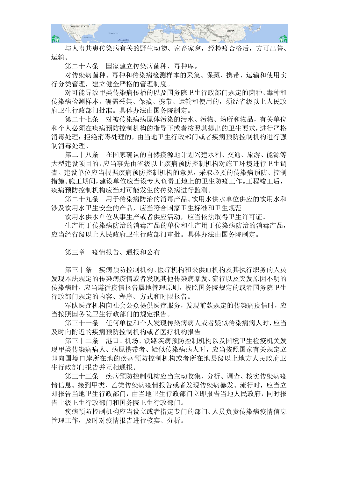

 与人畜共患传染病有关的野生动物、家畜家禽,经检疫合格后,方可出售、 运输。

第二十六条 国家建立传染病菌种、毒种库。

 对传染病菌种、毒种和传染病检测样本的采集、保藏、携带、运输和使用实 行分类管理,建立健全严格的管理制度。

 对可能导致甲类传染病传播的以及国务院卫生行政部门规定的菌种、毒种和 传染病检测样本,确需采集、保藏、携带、运输和使用的,须经省级以上人民政 府卫生行政部门批准。具体办法由国务院制定。

 第二十七条 对被传染病病原体污染的污水、污物、场所和物品,有关单位 和个人必须在疾病预防控制机构的指导下或者按照其提出的卫生要求,进行严格 消毒处理;拒绝消毒处理的,由当地卫生行政部门或者疾病预防控制机构进行强 制消毒处理。

 第二十八条 在国家确认的自然疫源地计划兴建水利、交通、旅游、能源等 大型建设项目的,应当事先由省级以上疾病预防控制机构对施工环境进行卫生调 查。建设单位应当根据疾病预防控制机构的意见,采取必要的传染病预防、控制 措施。施工期间,建设单位应当设专人负责工地上的卫生防疫工作。工程竣工后, 疾病预防控制机构应当对可能发生的传染病进行监测。

 第二十九条 用于传染病防治的消毒产品、饮用水供水单位供应的饮用水和 涉及饮用水卫生安全的产品,应当符合国家卫生标准和卫生规范。

饮用水供水单位从事生产或者供应活动,应当依法取得卫生许可证。

 生产用于传染病防治的消毒产品的单位和生产用于传染病防治的消毒产品, 应当经省级以上人民政府卫生行政部门审批。具体办法由国务院制定。

第三章 疫情报告、通报和公布

 第三十条 疾病预防控制机构、医疗机构和采供血机构及其执行职务的人员 发现本法规定的传染病疫情或者发现其他传染病暴发、流行以及突发原因不明的 传染病时,应当遵循疫情报告属地管理原则,按照国务院规定的或者国务院卫生 行政部门规定的内容、程序、方式和时限报告。

 军队医疗机构向社会公众提供医疗服务,发现前款规定的传染病疫情时,应 当按照国务院卫生行政部门的规定报告。

第三十一条 任何单位和个人发现传染病病人或者疑似传染病病人时,应当 及时向附近的疾病预防控制机构或者医疗机构报告。

 第三十二条 港口、机场、铁路疾病预防控制机构以及国境卫生检疫机关发 现甲类传染病病人、病原携带者、疑似传染病病人时,应当按照国家有关规定立 即向国境口岸所在地的疾病预防控制机构或者所在地县级以上地方人民政府卫 生行政部门报告并互相通报。

 第三十三条 疾病预防控制机构应当主动收集、分析、调查、核实传染病疫 情信息。接到甲类、乙类传染病疫情报告或者发现传染病暴发、流行时,应当立 即报告当地卫生行政部门,由当地卫生行政部门立即报告当地人民政府,同时报 告上级卫生行政部门和国务院卫生行政部门。

 疾病预防控制机构应当设立或者指定专门的部门、人员负责传染病疫情信息 管理工作,及时对疫情报告进行核实、分析。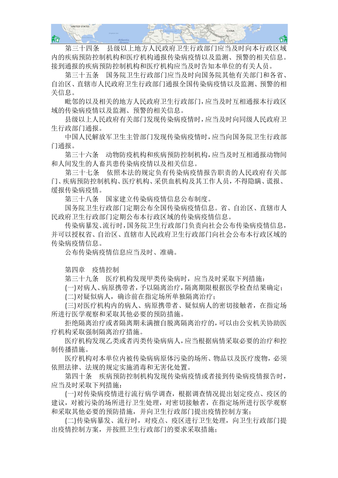

 第三十四条 县级以上地方人民政府卫生行政部门应当及时向本行政区域 内的疾病预防控制机构和医疗机构通报传染病疫情以及监测、预警的相关信息。 接到通报的疾病预防控制机构和医疗机构应当及时告知本单位的有关人员。

 第三十五条 国务院卫生行政部门应当及时向国务院其他有关部门和各省、 自治区、直辖市人民政府卫生行政部门通报全国传染病疫情以及监测、预警的相 关信息。

 毗邻的以及相关的地方人民政府卫生行政部门,应当及时互相通报本行政区 域的传染病疫情以及监测、预警的相关信息。

 县级以上人民政府有关部门发现传染病疫情时,应当及时向同级人民政府卫 生行政部门通报。

 中国人民解放军卫生主管部门发现传染病疫情时,应当向国务院卫生行政部 门通报。

 第三十六条 动物防疫机构和疾病预防控制机构,应当及时互相通报动物间 和人间发生的人畜共患传染病疫情以及相关信息。

 第三十七条 依照本法的规定负有传染病疫情报告职责的人民政府有关部 门、疾病预防控制机构、医疗机构、采供血机构及其工作人员,不得隐瞒、谎报、 缓报传染病疫情。

第三十八条 国家建立传染病疫情信息公布制度。

 国务院卫生行政部门定期公布全国传染病疫情信息。省、自治区、直辖市人 民政府卫生行政部门定期公布本行政区域的传染病疫情信息。

 传染病暴发、流行时,国务院卫生行政部门负责向社会公布传染病疫情信息, 并可以授权省、自治区、直辖市人民政府卫生行政部门向社会公布本行政区域的 传染病疫情信息。

公布传染病疫情信息应当及时、准确。

第四章 疫情控制

第三十九条 医疗机构发现甲类传染病时,应当及时采取下列措施:

(一)对病人、病原携带者,予以隔离治疗,隔离期限根据医学检查结果确定;

(二)对疑似病人,确诊前在指定场所单独隔离治疗;

 (三)对医疗机构内的病人、病原携带者、疑似病人的密切接触者,在指定场 所进行医学观察和采取其他必要的预防措施。

 拒绝隔离治疗或者隔离期未满擅自脱离隔离治疗的,可以由公安机关协助医 疗机构采取强制隔离治疗措施。

 医疗机构发现乙类或者丙类传染病病人,应当根据病情采取必要的治疗和控 制传播措施。

 医疗机构对本单位内被传染病病原体污染的场所、物品以及医疗废物,必须 依照法律、法规的规定实施消毒和无害化处置。

 第四十条 疾病预防控制机构发现传染病疫情或者接到传染病疫情报告时, 应当及时采取下列措施:

 (一)对传染病疫情进行流行病学调查,根据调查情况提出划定疫点、疫区的 建议,对被污染的场所进行卫生处理,对密切接触者,在指定场所进行医学观察 和采取其他必要的预防措施,并向卫生行政部门提出疫情控制方案;

 (二)传染病暴发、流行时,对疫点、疫区进行卫生处理,向卫生行政部门提 出疫情控制方案,并按照卫生行政部门的要求采取措施;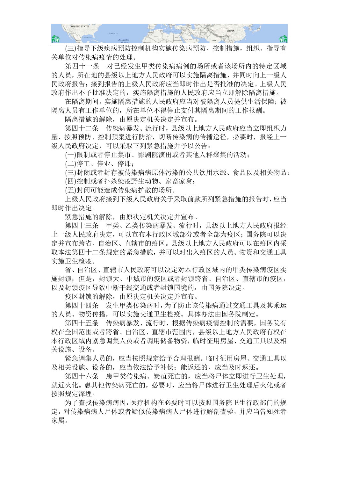

 (三)指导下级疾病预防控制机构实施传染病预防、控制措施,组织、指导有 关单位对传染病疫情的处理。

 第四十一条 对已经发生甲类传染病病例的场所或者该场所内的特定区域 的人员,所在地的县级以上地方人民政府可以实施隔离措施,并同时向上一级人 民政府报告;接到报告的上级人民政府应当即时作出是否批准的决定。上级人民 政府作出不予批准决定的,实施隔离措施的人民政府应当立即解除隔离措施。

 在隔离期间,实施隔离措施的人民政府应当对被隔离人员提供生活保障;被 隔离人员有工作单位的,所在单位不得停止支付其隔离期间的工作报酬。

隔离措施的解除,由原决定机关决定并宣布。

 第四十二条 传染病暴发、流行时,县级以上地方人民政府应当立即组织力 量,按照预防、控制预案进行防治,切断传染病的传播途径,必要时,报经上一 级人民政府决定,可以采取下列紧急措施并予以公告:

(一)限制或者停止集市、影剧院演出或者其他人群聚集的活动;

(二)停工、停业、停课;

 (三)封闭或者封存被传染病病原体污染的公共饮用水源、食品以及相关物品; (四)控制或者扑杀染疫野生动物、家畜家禽;

(五)封闭可能造成传染病扩散的场所。

 上级人民政府接到下级人民政府关于采取前款所列紧急措施的报告时,应当 即时作出决定。

紧急措施的解除,由原决定机关决定并宣布。

 第四十三条 甲类、乙类传染病暴发、流行时,县级以上地方人民政府报经 上一级人民政府决定,可以宣布本行政区域部分或者全部为疫区;国务院可以决 定并宣布跨省、自治区、直辖市的疫区。县级以上地方人民政府可以在疫区内采 取本法第四十二条规定的紧急措施,并可以对出入疫区的人员、物资和交通工具 实施卫生检疫。

 省、自治区、直辖市人民政府可以决定对本行政区域内的甲类传染病疫区实 施封锁;但是,封锁大、中城市的疫区或者封锁跨省、自治区、直辖市的疫区, 以及封锁疫区导致中断干线交通或者封锁国境的,由国务院决定。

疫区封锁的解除,由原决定机关决定并宣布。

 第四十四条 发生甲类传染病时,为了防止该传染病通过交通工具及其乘运 的人员、物资传播,可以实施交通卫生检疫。具体办法由国务院制定。

 第四十五条 传染病暴发、流行时,根据传染病疫情控制的需要,国务院有 权在全国范围或者跨省、自治区、直辖市范围内,县级以上地方人民政府有权在 本行政区域内紧急调集人员或者调用储备物资,临时征用房屋、交通工具以及相 关设施、设备。

 紧急调集人员的,应当按照规定给予合理报酬。临时征用房屋、交通工具以 及相关设施、设备的,应当依法给予补偿;能返还的,应当及时返还。

 第四十六条 患甲类传染病、炭疽死亡的,应当将尸体立即进行卫生处理, 就近火化。患其他传染病死亡的,必要时,应当将尸体进行卫生处理后火化或者 按照规定深埋。

 为了查找传染病病因,医疗机构在必要时可以按照国务院卫生行政部门的规 定,对传染病病人尸体或者疑似传染病病人尸体进行解剖查验,并应当告知死者 家属。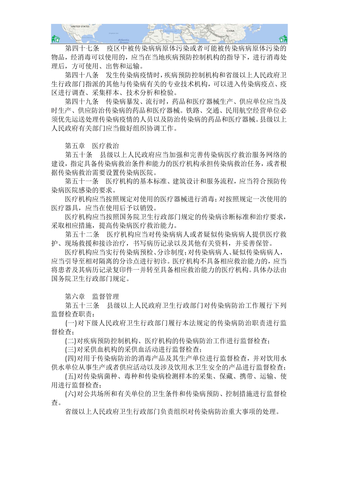

 第四十七条 疫区中被传染病病原体污染或者可能被传染病病原体污染的 物品,经消毒可以使用的,应当在当地疾病预防控制机构的指导下,进行消毒处 理后,方可使用、出售和运输。

 第四十八条 发生传染病疫情时,疾病预防控制机构和省级以上人民政府卫 生行政部门指派的其他与传染病有关的专业技术机构,可以进入传染病疫点、疫 区进行调查、采集样本、技术分析和检验。

 第四十九条 传染病暴发、流行时,药品和医疗器械生产、供应单位应当及 时生产、供应防治传染病的药品和医疗器械。铁路、交通、民用航空经营单位必 须优先运送处理传染病疫情的人员以及防治传染病的药品和医疗器械。县级以上 人民政府有关部门应当做好组织协调工作。

第五章 医疗救治

第五十条 具级以上人民政府应当加强和完善传染病医疗救治服务网络的 建设,指定具备传染病救治条件和能力的医疗机构承担传染病救治任务,或者根 据传染病救治需要设置传染病医院。

 第五十一条 医疗机构的基本标准、建筑设计和服务流程,应当符合预防传 染病医院感染的要求。

 医疗机构应当按照规定对使用的医疗器械进行消毒;对按照规定一次使用的 医疗器具,应当在使用后予以销毁。

 医疗机构应当按照国务院卫生行政部门规定的传染病诊断标准和治疗要求, 采取相应措施,提高传染病医疗救治能力。

 第五十二条 医疗机构应当对传染病病人或者疑似传染病病人提供医疗救 护、现场救援和接诊治疗,书写病历记录以及其他有关资料,并妥善保管。

 医疗机构应当实行传染病预检、分诊制度;对传染病病人、疑似传染病病人, 应当引导至相对隔离的分诊点进行初诊。医疗机构不具备相应救治能力的,应当 将患者及其病历记录复印件一并转至具备相应救治能力的医疗机构。具体办法由 国务院卫生行政部门规定。

第六章 监督管理

 第五十三条 县级以上人民政府卫生行政部门对传染病防治工作履行下列 监督检查职责:

 (一)对下级人民政府卫生行政部门履行本法规定的传染病防治职责进行监 督检查;

(二)对疾病预防控制机构、医疗机构的传染病防治工作进行监督检查;

(三)对采供血机构的采供血活动进行监督检查;

 (四)对用于传染病防治的消毒产品及其生产单位进行监督检查,并对饮用水 供水单位从事生产或者供应活动以及涉及饮用水卫生安全的产品进行监督检查;

 (五)对传染病菌种、毒种和传染病检测样本的采集、保藏、携带、运输、使 用进行监督检查;

 (六)对公共场所和有关单位的卫生条件和传染病预防、控制措施进行监督检 查。

省级以上人民政府卫生行政部门负责组织对传染病防治重大事项的处理。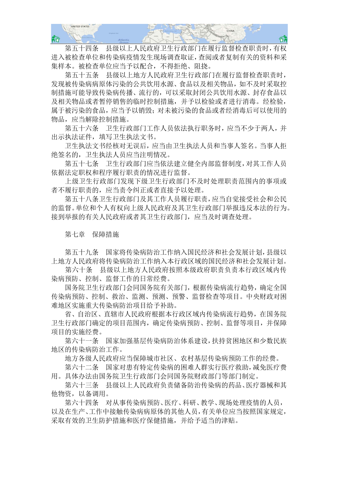

 第五十四条 县级以上人民政府卫生行政部门在履行监督检查职责时,有权 进入被检查单位和传染病疫情发生现场调查取证,查阅或者复制有关的资料和采 集样本。被检查单位应当予以配合,不得拒绝、阻挠。

 第五十五条 县级以上地方人民政府卫生行政部门在履行监督检查职责时, 发现被传染病病原体污染的公共饮用水源、食品以及相关物品,如不及时采取控 制措施可能导致传染病传播、流行的,可以采取封闭公共饮用水源、封存食品以 及相关物品或者暂停销售的临时控制措施,并予以检验或者进行消毒。经检验, 属于被污染的食品,应当予以销毁;对未被污染的食品或者经消毒后可以使用的 物品,应当解除控制措施。

第五十六条 卫生行政部门工作人员依法执行职务时, 应当不少于两人, 并 出示执法证件,填写卫生执法文书。

 卫生执法文书经核对无误后,应当由卫生执法人员和当事人签名。当事人拒 绝签名的,卫生执法人员应当注明情况。

 第五十七条 卫生行政部门应当依法建立健全内部监督制度,对其工作人员 依据法定职权和程序履行职责的情况进行监督。

 上级卫生行政部门发现下级卫生行政部门不及时处理职责范围内的事项或 者不履行职责的,应当责令纠正或者直接予以处理。

 第五十八条卫生行政部门及其工作人员履行职责,应当自觉接受社会和公民 的监督。单位和个人有权向上级人民政府及其卫生行政部门举报违反本法的行为。 接到举报的有关人民政府或者其卫生行政部门,应当及时调查处理。

第七章 保障措施

 第五十九条 国家将传染病防治工作纳入国民经济和社会发展计划,县级以 上地方人民政府将传染病防治工作纳入本行政区域的国民经济和社会发展计划。

 第六十条 县级以上地方人民政府按照本级政府职责负责本行政区域内传 染病预防、控制、监督工作的日常经费。

 国务院卫生行政部门会同国务院有关部门,根据传染病流行趋势,确定全国 传染病预防、控制、救治、监测、预测、预警、监督检查等项目。中央财政对困 难地区实施重大传染病防治项目给予补助。

 省、自治区、直辖市人民政府根据本行政区域内传染病流行趋势,在国务院 卫生行政部门确定的项目范围内,确定传染病预防、控制、监督等项目,并保障 项目的实施经费。

 第六十一条 国家加强基层传染病防治体系建设,扶持贫困地区和少数民族 地区的传染病防治工作。

地方各级人民政府应当保障城市社区、农村基层传染病预防工作的经费。

 第六十二条 国家对患有特定传染病的困难人群实行医疗救助,减免医疗费 用。具体办法由国务院卫生行政部门会同国务院财政部门等部门制定。

 第六十三条 县级以上人民政府负责储备防治传染病的药品、医疗器械和其 他物资,以备调用。

 第六十四条 对从事传染病预防、医疗、科研、教学、现场处理疫情的人员, 以及在生产、工作中接触传染病病原体的其他人员,有关单位应当按照国家规定, 采取有效的卫生防护措施和医疗保健措施,并给予适当的津贴。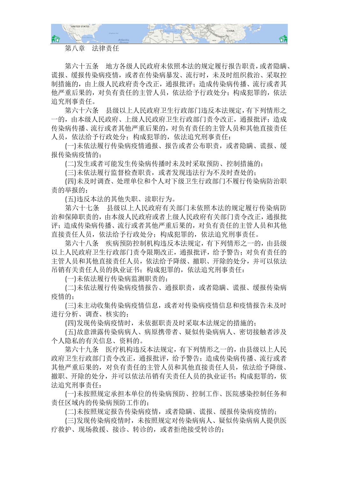

## 第八章 法律责任

 第六十五条 地方各级人民政府未依照本法的规定履行报告职责,或者隐瞒、 谎报、缓报传染病疫情,或者在传染病暴发、流行时,未及时组织救治、采取控 制措施的,由上级人民政府责令改正,通报批评;造成传染病传播、流行或者其 他严重后果的,对负有责任的主管人员,依法给予行政处分;构成犯罪的,依法 追究刑事责任。

 第六十六条 县级以上人民政府卫生行政部门违反本法规定,有下列情形之 一的,由本级人民政府、上级人民政府卫生行政部门责令改正,通报批评;造成 传染病传播、流行或者其他严重后果的,对负有责任的主管人员和其他直接责任 人员,依法给予行政处分;构成犯罪的,依法追究刑事责任:

 (一)未依法履行传染病疫情通报、报告或者公布职责,或者隐瞒、谎报、缓 报传染病疫情的;

(二)发生或者可能发生传染病传播时未及时采取预防、控制措施的;

(三)未依法履行监督检查职责,或者发现违法行为不及时查处的;

 (四)未及时调查、处理单位和个人对下级卫生行政部门不履行传染病防治职 责的举报的;

(五)违反本法的其他失职、渎职行为。

 第六十七条 县级以上人民政府有关部门未依照本法的规定履行传染病防 治和保障职责的,由本级人民政府或者上级人民政府有关部门责令改正,通报批 评;造成传染病传播、流行或者其他严重后果的,对负有责任的主管人员和其他 直接责任人员,依法给予行政处分;构成犯罪的,依法追究刑事责任。

 第六十八条 疾病预防控制机构违反本法规定,有下列情形之一的,由县级 以上人民政府卫生行政部门责令限期改正,通报批评,给予警告;对负有责任的 主管人员和其他直接责任人员,依法给予降级、撤职、开除的处分,并可以依法 吊销有关责任人员的执业证书;构成犯罪的,依法追究刑事责任:

(一)未依法履行传染病监测职责的;

 (二)未依法履行传染病疫情报告、通报职责,或者隐瞒、谎报、缓报传染病 疫情的;

 (三)未主动收集传染病疫情信息,或者对传染病疫情信息和疫情报告未及时 进行分析、调查、核实的;

(四)发现传染病疫情时,未依据职责及时采取本法规定的措施的;

 (五)故意泄露传染病病人、病原携带者、疑似传染病病人、密切接触者涉及 个人隐私的有关信息、资料的。

 第六十九条 医疗机构违反本法规定,有下列情形之一的,由县级以上人民 政府卫生行政部门责令改正,通报批评,给予警告:造成传染病传播、流行或者 其他严重后果的,对负有责任的主管人员和其他直接责任人员,依法给予降级、 撤职、开除的处分,并可以依法吊销有关责任人员的执业证书;构成犯罪的,依 法追究刑事责任:

 (一)未按照规定承担本单位的传染病预防、控制工作、医院感染控制任务和 责任区域内的传染病预防工作的;

(二)未按照规定报告传染病疫情,或者隐瞒、谎报、缓报传染病疫情的;

 (三)发现传染病疫情时,未按照规定对传染病病人、疑似传染病病人提供医 疗救护、现场救援、接诊、转诊的,或者拒绝接受转诊的;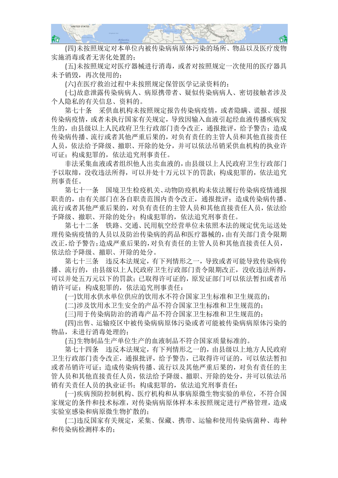

 (四)未按照规定对本单位内被传染病病原体污染的场所、物品以及医疗废物 实施消毒或者无害化处置的;

 (五)未按照规定对医疗器械进行消毒,或者对按照规定一次使用的医疗器具 未予销毁,再次使用的;

(六)在医疗救治过程中未按照规定保管医学记录资料的;

 (七)故意泄露传染病病人、病原携带者、疑似传染病病人、密切接触者涉及 个人隐私的有关信息、资料的。

 第七十条 采供血机构未按照规定报告传染病疫情,或者隐瞒、谎报、缓报 传染病疫情,或者未执行国家有关规定,导致因输入血液引起经血液传播疾病发 生的, 由具级以上人民政府卫生行政部门责令改正, 通报批评, 给予警告; 造成 传染病传播、流行或者其他严重后果的,对负有责任的主管人员和其他直接责任 人员,依法给予降级、撤职、开除的处分,并可以依法吊销采供血机构的执业许 可证;构成犯罪的,依法追究刑事责任。

 非法采集血液或者组织他人出卖血液的,由县级以上人民政府卫生行政部门 予以取缔,没收违法所得,可以并处十万元以下的罚款;构成犯罪的,依法追究 刑事责任。

 第七十一条 国境卫生检疫机关、动物防疫机构未依法履行传染病疫情通报 职责的, 由有关部门在各自职责范围内责令改正, 通报批评: 造成传染病传播、 流行或者其他严重后果的,对负有责任的主管人员和其他直接责任人员,依法给 予降级、撤职、开除的处分;构成犯罪的,依法追究刑事责任。

 第七十二条 铁路、交通、民用航空经营单位未依照本法的规定优先运送处 理传染病疫情的人员以及防治传染病的药品和医疗器械的,由有关部门责令限期 改正,给予警告;造成严重后果的,对负有责任的主管人员和其他直接责任人员, 依法给予降级、撤职、开除的处分。

 第七十三条 违反本法规定,有下列情形之一,导致或者可能导致传染病传 播、流行的,由县级以上人民政府卫生行政部门责令限期改正,没收违法所得, 可以并处五万元以下的罚款;已取得许可证的,原发证部门可以依法暂扣或者吊 销许可证;构成犯罪的,依法追究刑事责任:

(一)饮用水供水单位供应的饮用水不符合国家卫生标准和卫生规范的;

(二)涉及饮用水卫生安全的产品不符合国家卫生标准和卫生规范的;

(三)用于传染病防治的消毒产品不符合国家卫生标准和卫生规范的;

 (四)出售、运输疫区中被传染病病原体污染或者可能被传染病病原体污染的 物品,未进行消毒处理的;

(五)生物制品生产单位生产的血液制品不符合国家质量标准的。

 第七十四条 违反本法规定,有下列情形之一的,由县级以上地方人民政府 卫生行政部门责令改正,通报批评,给予警告,已取得许可证的,可以依法暂扣 或者吊销许可证;造成传染病传播、流行以及其他严重后果的,对负有责任的主 管人员和其他直接责任人员,依法给予降级、撤职、开除的处分,并可以依法吊 销有关责任人员的执业证书;构成犯罪的,依法追究刑事责任:

 (一)疾病预防控制机构、医疗机构和从事病原微生物实验的单位,不符合国 家规定的条件和技术标准,对传染病病原体样本未按照规定进行严格管理,造成 实验室感染和病原微生物扩散的;

 (二)违反国家有关规定,采集、保藏、携带、运输和使用传染病菌种、毒种 和传染病检测样本的;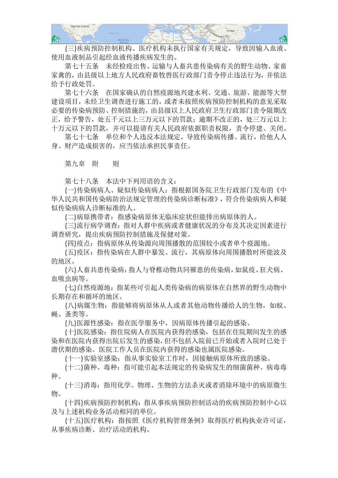

 (三)疾病预防控制机构、医疗机构未执行国家有关规定,导致因输入血液、 使用血液制品引起经血液传播疾病发生的。

 第七十五条 未经检疫出售、运输与人畜共患传染病有关的野生动物、家畜 家禽的,由县级以上地方人民政府畜牧兽医行政部门责令停止违法行为,并依法 给予行政处罚。

 第七十六条 在国家确认的自然疫源地兴建水利、交通、旅游、能源等大型 建设项目,未经卫生调查进行施工的,或者未按照疾病预防控制机构的意见采取 必要的传染病预防、控制措施的,由县级以上人民政府卫生行政部门责令限期改 正,给予警告,处五千元以上三万元以下的罚款;逾期不改正的,处三万元以上 十万元以下的罚款,并可以提请有关人民政府依据职责权限,责令停建、关闭。

 第七十七条 单位和个人违反本法规定,导致传染病传播、流行,给他人人 身、财产造成损害的,应当依法承担民事责任。

第九章 附 则

第七十八条 本法中下列用语的含义:

 (一)传染病病人、疑似传染病病人:指根据国务院卫生行政部门发布的《中 华人民共和国传染病防治法规定管理的传染病诊断标准》,符合传染病病人和疑 似传染病病人诊断标准的人。

(二)病原携带者:指感染病原体无临床症状但能排出病原体的人。

 (三)流行病学调查:指对人群中疾病或者健康状况的分布及其决定因素进行 调查研究,提出疾病预防控制措施及保健对策。

(四)疫点:指病原体从传染源向周围播散的范围较小或者单个疫源地。

 (五)疫区:指传染病在人群中暴发、流行,其病原体向周围播散时所能波及 的地区。

 (六)人畜共患传染病:指人与脊椎动物共同罹患的传染病,如鼠疫、狂犬病、 血吸虫病等。

 (七)自然疫源地:指某些可引起人类传染病的病原体在自然界的野生动物中 长期存在和循环的地区。

(八)病媒生物: 指能够将病原体从人或者其他动物传播给人的生物,如蚊、 蝇、蚤类等。

(九)医源性感染:指在医学服务中,因病原体传播引起的感染。

 (十)医院感染:指住院病人在医院内获得的感染,包括在住院期间发生的感 染和在医院内获得出院后发生的感染,但不包括入院前已开始或者入院时已处于 潜伏期的感染。医院工作人员在医院内获得的感染也属医院感染。

(十一)实验室感染:指从事实验室工作时,因接触病原体所致的感染。

 (十二)菌种、毒种:指可能引起本法规定的传染病发生的细菌菌种、病毒毒 种。

 (十三)消毒:指用化学、物理、生物的方法杀灭或者消除环境中的病原微生 物。

 (十四)疾病预防控制机构:指从事疾病预防控制活动的疾病预防控制中心以 及与上述机构业务活动相同的单位。

 (十五)医疗机构:指按照《医疗机构管理条例》取得医疗机构执业许可证, 从事疾病诊断、治疗活动的机构。